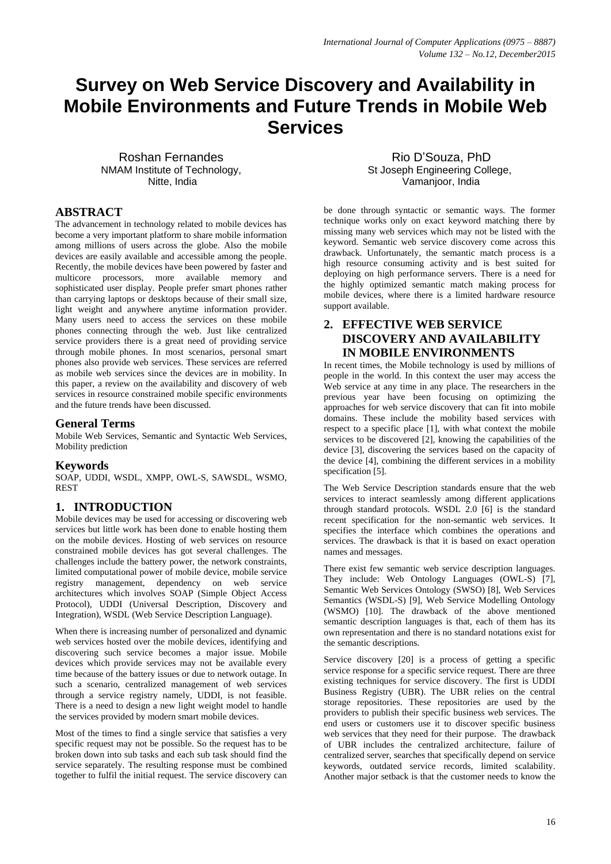# **Survey on Web Service Discovery and Availability in Mobile Environments and Future Trends in Mobile Web Services**

Roshan Fernandes NMAM Institute of Technology, Nitte, India

Rio D'Souza, PhD St Joseph Engineering College, Vamanjoor, India

## **ABSTRACT**

The advancement in technology related to mobile devices has become a very important platform to share mobile information among millions of users across the globe. Also the mobile devices are easily available and accessible among the people. Recently, the mobile devices have been powered by faster and multicore processors, more available memory and sophisticated user display. People prefer smart phones rather than carrying laptops or desktops because of their small size, light weight and anywhere anytime information provider. Many users need to access the services on these mobile phones connecting through the web. Just like centralized service providers there is a great need of providing service through mobile phones. In most scenarios, personal smart phones also provide web services. These services are referred as mobile web services since the devices are in mobility. In this paper, a review on the availability and discovery of web services in resource constrained mobile specific environments and the future trends have been discussed.

## **General Terms**

Mobile Web Services, Semantic and Syntactic Web Services, Mobility prediction

### **Keywords**

SOAP, UDDI, WSDL, XMPP, OWL-S, SAWSDL, WSMO, REST

## **1. INTRODUCTION**

Mobile devices may be used for accessing or discovering web services but little work has been done to enable hosting them on the mobile devices. Hosting of web services on resource constrained mobile devices has got several challenges. The challenges include the battery power, the network constraints, limited computational power of mobile device, mobile service registry management, dependency on web service architectures which involves SOAP (Simple Object Access Protocol), UDDI (Universal Description, Discovery and Integration), WSDL (Web Service Description Language).

When there is increasing number of personalized and dynamic web services hosted over the mobile devices, identifying and discovering such service becomes a major issue. Mobile devices which provide services may not be available every time because of the battery issues or due to network outage. In such a scenario, centralized management of web services through a service registry namely, UDDI, is not feasible. There is a need to design a new light weight model to handle the services provided by modern smart mobile devices.

Most of the times to find a single service that satisfies a very specific request may not be possible. So the request has to be broken down into sub tasks and each sub task should find the service separately. The resulting response must be combined together to fulfil the initial request. The service discovery can be done through syntactic or semantic ways. The former technique works only on exact keyword matching there by missing many web services which may not be listed with the keyword. Semantic web service discovery come across this drawback. Unfortunately, the semantic match process is a high resource consuming activity and is best suited for deploying on high performance servers. There is a need for the highly optimized semantic match making process for mobile devices, where there is a limited hardware resource support available.

# **2. EFFECTIVE WEB SERVICE DISCOVERY AND AVAILABILITY IN MOBILE ENVIRONMENTS**

In recent times, the Mobile technology is used by millions of people in the world. In this context the user may access the Web service at any time in any place. The researchers in the previous year have been focusing on optimizing the approaches for web service discovery that can fit into mobile domains. These include the mobility based services with respect to a specific place [1], with what context the mobile services to be discovered [2], knowing the capabilities of the device [3], discovering the services based on the capacity of the device [4], combining the different services in a mobility specification [5].

The Web Service Description standards ensure that the web services to interact seamlessly among different applications through standard protocols. WSDL 2.0 [6] is the standard recent specification for the non-semantic web services. It specifies the interface which combines the operations and services. The drawback is that it is based on exact operation names and messages.

There exist few semantic web service description languages. They include: Web Ontology Languages (OWL-S) [7], Semantic Web Services Ontology (SWSO) [8], Web Services Semantics (WSDL-S) [9], Web Service Modelling Ontology (WSMO) [10]. The drawback of the above mentioned semantic description languages is that, each of them has its own representation and there is no standard notations exist for the semantic descriptions.

Service discovery [20] is a process of getting a specific service response for a specific service request. There are three existing techniques for service discovery. The first is UDDI Business Registry (UBR). The UBR relies on the central storage repositories. These repositories are used by the providers to publish their specific business web services. The end users or customers use it to discover specific business web services that they need for their purpose. The drawback of UBR includes the centralized architecture, failure of centralized server, searches that specifically depend on service keywords, outdated service records, limited scalability. Another major setback is that the customer needs to know the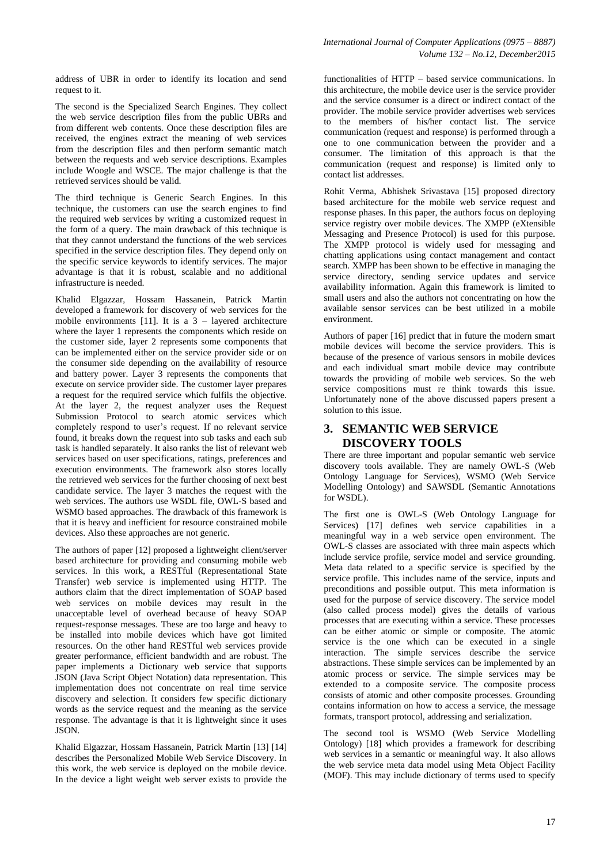address of UBR in order to identify its location and send request to it.

The second is the Specialized Search Engines. They collect the web service description files from the public UBRs and from different web contents. Once these description files are received, the engines extract the meaning of web services from the description files and then perform semantic match between the requests and web service descriptions. Examples include Woogle and WSCE. The major challenge is that the retrieved services should be valid.

The third technique is Generic Search Engines. In this technique, the customers can use the search engines to find the required web services by writing a customized request in the form of a query. The main drawback of this technique is that they cannot understand the functions of the web services specified in the service description files. They depend only on the specific service keywords to identify services. The major advantage is that it is robust, scalable and no additional infrastructure is needed.

Khalid Elgazzar, Hossam Hassanein, Patrick Martin developed a framework for discovery of web services for the mobile environments [11]. It is a  $3$  – layered architecture where the layer 1 represents the components which reside on the customer side, layer 2 represents some components that can be implemented either on the service provider side or on the consumer side depending on the availability of resource and battery power. Layer 3 represents the components that execute on service provider side. The customer layer prepares a request for the required service which fulfils the objective. At the layer 2, the request analyzer uses the Request Submission Protocol to search atomic services which completely respond to user's request. If no relevant service found, it breaks down the request into sub tasks and each sub task is handled separately. It also ranks the list of relevant web services based on user specifications, ratings, preferences and execution environments. The framework also stores locally the retrieved web services for the further choosing of next best candidate service. The layer 3 matches the request with the web services. The authors use WSDL file, OWL-S based and WSMO based approaches. The drawback of this framework is that it is heavy and inefficient for resource constrained mobile devices. Also these approaches are not generic.

The authors of paper [12] proposed a lightweight client/server based architecture for providing and consuming mobile web services. In this work, a RESTful (Representational State Transfer) web service is implemented using HTTP. The authors claim that the direct implementation of SOAP based web services on mobile devices may result in the unacceptable level of overhead because of heavy SOAP request-response messages. These are too large and heavy to be installed into mobile devices which have got limited resources. On the other hand RESTful web services provide greater performance, efficient bandwidth and are robust. The paper implements a Dictionary web service that supports JSON (Java Script Object Notation) data representation. This implementation does not concentrate on real time service discovery and selection. It considers few specific dictionary words as the service request and the meaning as the service response. The advantage is that it is lightweight since it uses JSON.

Khalid Elgazzar, Hossam Hassanein, Patrick Martin [13] [14] describes the Personalized Mobile Web Service Discovery. In this work, the web service is deployed on the mobile device. In the device a light weight web server exists to provide the functionalities of HTTP – based service communications. In this architecture, the mobile device user is the service provider and the service consumer is a direct or indirect contact of the provider. The mobile service provider advertises web services to the members of his/her contact list. The service communication (request and response) is performed through a one to one communication between the provider and a consumer. The limitation of this approach is that the communication (request and response) is limited only to contact list addresses.

Rohit Verma, Abhishek Srivastava [15] proposed directory based architecture for the mobile web service request and response phases. In this paper, the authors focus on deploying service registry over mobile devices. The XMPP (eXtensible Messaging and Presence Protocol) is used for this purpose. The XMPP protocol is widely used for messaging and chatting applications using contact management and contact search. XMPP has been shown to be effective in managing the service directory, sending service updates and service availability information. Again this framework is limited to small users and also the authors not concentrating on how the available sensor services can be best utilized in a mobile environment.

Authors of paper [16] predict that in future the modern smart mobile devices will become the service providers. This is because of the presence of various sensors in mobile devices and each individual smart mobile device may contribute towards the providing of mobile web services. So the web service compositions must re think towards this issue. Unfortunately none of the above discussed papers present a solution to this issue.

# **3. SEMANTIC WEB SERVICE DISCOVERY TOOLS**

There are three important and popular semantic web service discovery tools available. They are namely OWL-S (Web Ontology Language for Services), WSMO (Web Service Modelling Ontology) and SAWSDL (Semantic Annotations for WSDL).

The first one is OWL-S (Web Ontology Language for Services) [17] defines web service capabilities in a meaningful way in a web service open environment. The OWL-S classes are associated with three main aspects which include service profile, service model and service grounding. Meta data related to a specific service is specified by the service profile. This includes name of the service, inputs and preconditions and possible output. This meta information is used for the purpose of service discovery. The service model (also called process model) gives the details of various processes that are executing within a service. These processes can be either atomic or simple or composite. The atomic service is the one which can be executed in a single interaction. The simple services describe the service abstractions. These simple services can be implemented by an atomic process or service. The simple services may be extended to a composite service. The composite process consists of atomic and other composite processes. Grounding contains information on how to access a service, the message formats, transport protocol, addressing and serialization.

The second tool is WSMO (Web Service Modelling Ontology) [18] which provides a framework for describing web services in a semantic or meaningful way. It also allows the web service meta data model using Meta Object Facility (MOF). This may include dictionary of terms used to specify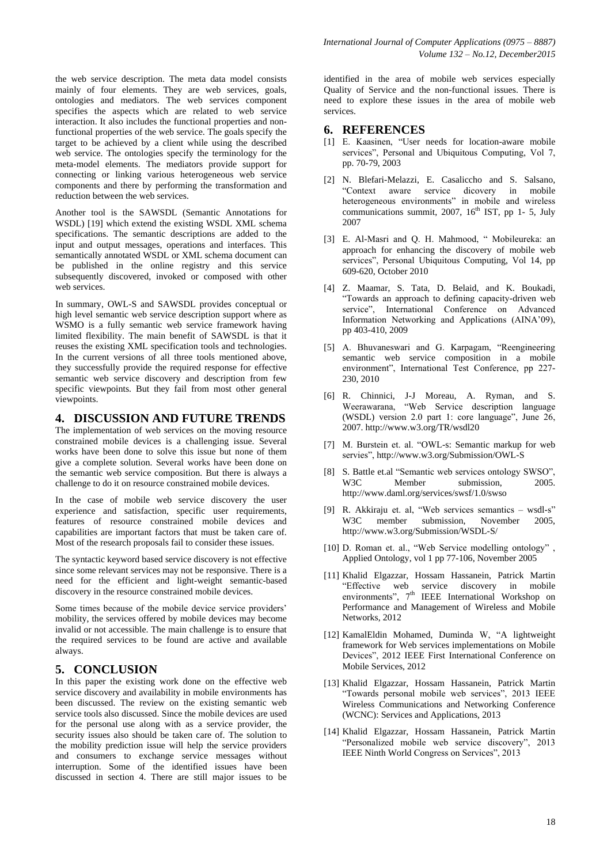the web service description. The meta data model consists mainly of four elements. They are web services, goals, ontologies and mediators. The web services component specifies the aspects which are related to web service interaction. It also includes the functional properties and nonfunctional properties of the web service. The goals specify the target to be achieved by a client while using the described web service. The ontologies specify the terminology for the meta-model elements. The mediators provide support for connecting or linking various heterogeneous web service components and there by performing the transformation and reduction between the web services.

Another tool is the SAWSDL (Semantic Annotations for WSDL) [19] which extend the existing WSDL XML schema specifications. The semantic descriptions are added to the input and output messages, operations and interfaces. This semantically annotated WSDL or XML schema document can be published in the online registry and this service subsequently discovered, invoked or composed with other web services.

In summary, OWL-S and SAWSDL provides conceptual or high level semantic web service description support where as WSMO is a fully semantic web service framework having limited flexibility. The main benefit of SAWSDL is that it reuses the existing XML specification tools and technologies. In the current versions of all three tools mentioned above, they successfully provide the required response for effective semantic web service discovery and description from few specific viewpoints. But they fail from most other general viewpoints.

#### **4. DISCUSSION AND FUTURE TRENDS**

The implementation of web services on the moving resource constrained mobile devices is a challenging issue. Several works have been done to solve this issue but none of them give a complete solution. Several works have been done on the semantic web service composition. But there is always a challenge to do it on resource constrained mobile devices.

In the case of mobile web service discovery the user experience and satisfaction, specific user requirements, features of resource constrained mobile devices and capabilities are important factors that must be taken care of. Most of the research proposals fail to consider these issues.

The syntactic keyword based service discovery is not effective since some relevant services may not be responsive. There is a need for the efficient and light-weight semantic-based discovery in the resource constrained mobile devices.

Some times because of the mobile device service providers' mobility, the services offered by mobile devices may become invalid or not accessible. The main challenge is to ensure that the required services to be found are active and available always.

## **5. CONCLUSION**

In this paper the existing work done on the effective web service discovery and availability in mobile environments has been discussed. The review on the existing semantic web service tools also discussed. Since the mobile devices are used for the personal use along with as a service provider, the security issues also should be taken care of. The solution to the mobility prediction issue will help the service providers and consumers to exchange service messages without interruption. Some of the identified issues have been discussed in section 4. There are still major issues to be

identified in the area of mobile web services especially Quality of Service and the non-functional issues. There is need to explore these issues in the area of mobile web services.

#### **6. REFERENCES**

- [1] E. Kaasinen, "User needs for location-aware mobile services", Personal and Ubiquitous Computing, Vol 7, pp. 70-79, 2003
- [2] N. Blefari-Melazzi, E. Casaliccho and S. Salsano, "Context aware service dicovery in mobile heterogeneous environments" in mobile and wireless communications summit, 2007,  $16<sup>th</sup>$  IST, pp 1- 5, July 2007
- [3] E. Al-Masri and Q. H. Mahmood, " Mobileureka: an approach for enhancing the discovery of mobile web services", Personal Ubiquitous Computing, Vol 14, pp 609-620, October 2010
- [4] Z. Maamar, S. Tata, D. Belaid, and K. Boukadi, "Towards an approach to defining capacity-driven web service", International Conference on Advanced Information Networking and Applications (AINA'09), pp 403-410, 2009
- [5] A. Bhuvaneswari and G. Karpagam, "Reengineering semantic web service composition in a mobile environment", International Test Conference, pp 227- 230, 2010
- [6] R. Chinnici, J-J Moreau, A. Ryman, and S. Weerawarana, "Web Service description language (WSDL) version 2.0 part 1: core language", June 26, 2007.<http://www.w3.org/TR/wsdl20>
- [7] M. Burstein et. al. "OWL-s: Semantic markup for web servies",<http://www.w3.org/Submission/OWL-S>
- [8] S. Battle et.al "Semantic web services ontology SWSO", W<sub>3</sub>C Member submission 2005 http://www.daml.org/services/swsf/1.0/swso
- [9] R. Akkiraju et. al, "Web services semantics wsdl-s" W3C member submission, November 2005, http://www.w3.org/Submission/WSDL-S/
- [10] D. Roman et. al., "Web Service modelling ontology" , Applied Ontology, vol 1 pp 77-106, November 2005
- [11] Khalid Elgazzar, Hossam Hassanein, Patrick Martin "Effective web service discovery in mobile environments", 7<sup>th</sup> IEEE International Workshop on Performance and Management of Wireless and Mobile Networks, 2012
- [12] KamalEldin Mohamed, Duminda W, "A lightweight framework for Web services implementations on Mobile Devices", 2012 IEEE First International Conference on Mobile Services, 2012
- [13] Khalid Elgazzar, Hossam Hassanein, Patrick Martin "Towards personal mobile web services", 2013 IEEE Wireless Communications and Networking Conference (WCNC): Services and Applications, 2013
- [14] Khalid Elgazzar, Hossam Hassanein, Patrick Martin "Personalized mobile web service discovery", 2013 IEEE Ninth World Congress on Services", 2013